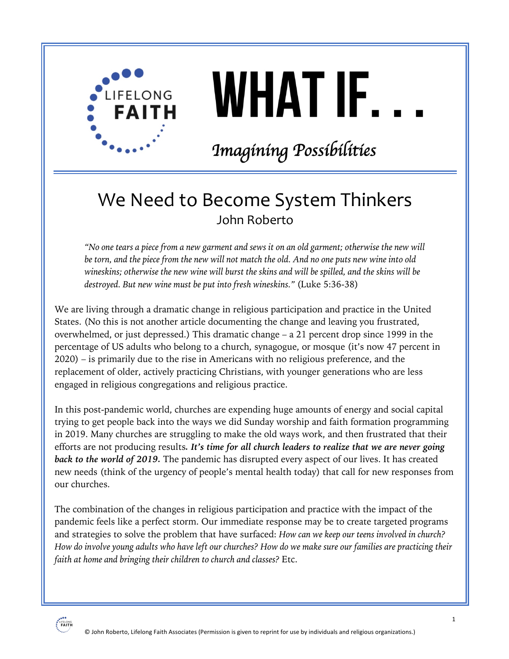

# WHAT IF.

## Imagíning Possibilities

### We Need to Become System Thinkers John Roberto

*"No one tears a piece from a new garment and sews it on an old garment; otherwise the new will be torn, and the piece from the new will not match the old. And no one puts new wine into old wineskins; otherwise the new wine will burst the skins and will be spilled, and the skins will be destroyed. But new wine must be put into fresh wineskins."* (Luke 5:36-38)

We are living through a dramatic change in religious participation and practice in the United States. (No this is not another article documenting the change and leaving you frustrated, overwhelmed, or just depressed.) This dramatic change – a 21 percent drop since 1999 in the percentage of US adults who belong to a church, synagogue, or mosque (it's now 47 percent in 2020) – is primarily due to the rise in Americans with no religious preference, and the replacement of older, actively practicing Christians, with younger generations who are less engaged in religious congregations and religious practice.

In this post-pandemic world, churches are expending huge amounts of energy and social capital trying to get people back into the ways we did Sunday worship and faith formation programming in 2019. Many churches are struggling to make the old ways work, and then frustrated that their efforts are not producing results*. It's time for all church leaders to realize that we are never going back to the world of 2019.* The pandemic has disrupted every aspect of our lives. It has created new needs (think of the urgency of people's mental health today) that call for new responses from our churches.

The combination of the changes in religious participation and practice with the impact of the pandemic feels like a perfect storm. Our immediate response may be to create targeted programs and strategies to solve the problem that have surfaced: *How can we keep our teens involved in church? How do involve young adults who have left our churches? How do we make sure our families are practicing their faith at home and bringing their children to church and classes?* Etc.

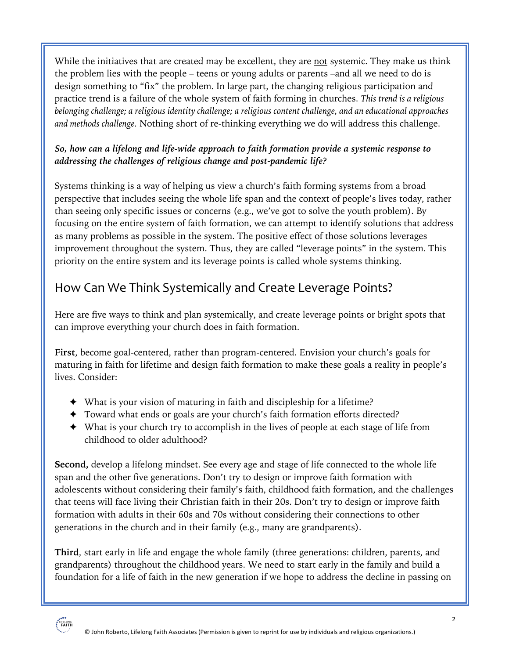While the initiatives that are created may be excellent, they are not systemic. They make us think the problem lies with the people – teens or young adults or parents –and all we need to do is design something to "fix" the problem. In large part, the changing religious participation and practice trend is a failure of the whole system of faith forming in churches. *This trend is a religious belonging challenge; a religious identity challenge; a religious content challenge, and an educational approaches and methods challenge.* Nothing short of re-thinking everything we do will address this challenge.

#### *So, how can a lifelong and life-wide approach to faith formation provide a systemic response to addressing the challenges of religious change and post-pandemic life?*

Systems thinking is a way of helping us view a church's faith forming systems from a broad perspective that includes seeing the whole life span and the context of people's lives today, rather than seeing only specific issues or concerns (e.g., we've got to solve the youth problem). By focusing on the entire system of faith formation, we can attempt to identify solutions that address as many problems as possible in the system. The positive effect of those solutions leverages improvement throughout the system. Thus, they are called "leverage points" in the system. This priority on the entire system and its leverage points is called whole systems thinking.

#### How Can We Think Systemically and Create Leverage Points?

Here are five ways to think and plan systemically, and create leverage points or bright spots that can improve everything your church does in faith formation.

**First**, become goal-centered, rather than program-centered. Envision your church's goals for maturing in faith for lifetime and design faith formation to make these goals a reality in people's lives. Consider:

- ! What is your vision of maturing in faith and discipleship for a lifetime?
- ! Toward what ends or goals are your church's faith formation efforts directed?
- ! What is your church try to accomplish in the lives of people at each stage of life from childhood to older adulthood?

**Second,** develop a lifelong mindset. See every age and stage of life connected to the whole life span and the other five generations. Don't try to design or improve faith formation with adolescents without considering their family's faith, childhood faith formation, and the challenges that teens will face living their Christian faith in their 20s. Don't try to design or improve faith formation with adults in their 60s and 70s without considering their connections to other generations in the church and in their family (e.g., many are grandparents).

**Third**, start early in life and engage the whole family (three generations: children, parents, and grandparents) throughout the childhood years. We need to start early in the family and build a foundation for a life of faith in the new generation if we hope to address the decline in passing on